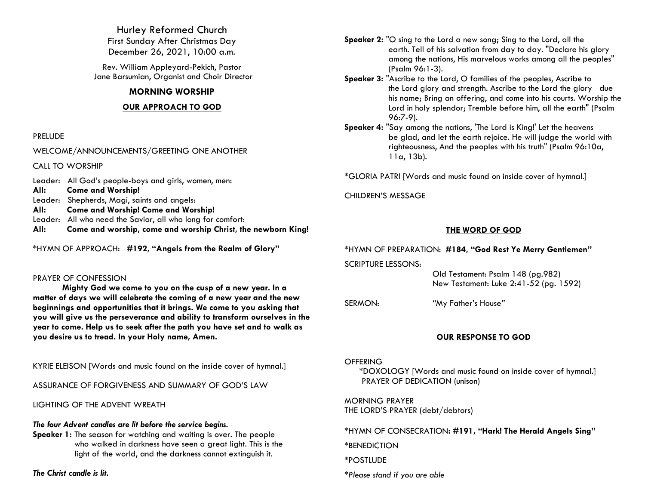Hurley Reformed Church First Sunday After Christmas Day December 26, 2021, 10:00 a.m.

Rev. William Appleyard-Pekich, Pastor Jane Barsumian, Organist and Choir Director

## **MORNING WORSHIP**

## **OUR APPROACH TO GOD**

### PRELUDE

WELCOME/ANNOUNCEMENTS/GREETING ONE ANOTHER

CALL TO WORSHIP

Leader: All God's people-boys and girls, women, men: **All: Come and Worship!** Leader: Shepherds, Magi, saints and angels: **All: Come and Worship! Come and Worship!** Leader: All who need the Savior, all who long for comfort: **All: Come and worship, come and worship Christ, the newborn King!**

\*HYMN OF APPROACH: **#192, "Angels from the Realm of Glory"**

### PRAYER OF CONFESSION

**Mighty God we come to you on the cusp of a new year. In a matter of days we will celebrate the coming of a new year and the new beginnings and opportunities that it brings. We come to you asking that you will give us the perseverance and ability to transform ourselves in the year to come. Help us to seek after the path you have set and to walk as you desire us to tread. In your Holy name, Amen.**

KYRIE ELEISON [Words and music found on the inside cover of hymnal.]

ASSURANCE OF FORGIVENESS AND SUMMARY OF GOD'S LAW

LIGHTING OF THE ADVENT WREATH

## *The four Advent candles are lit before the service begins.*

**Speaker 1:** The season for watching and waiting is over. The people who walked in darkness have seen a great light. This is the light of the world, and the darkness cannot extinguish it.

*The Christ candle is lit.*

- **Speaker 2:** "O sing to the Lord a new song; Sing to the Lord, all the earth. Tell of his salvation from day to day. "Declare his glory among the nations, His marvelous works among all the peoples" (Psalm 96:1-3).
- **Speaker 3:** "Ascribe to the Lord, O families of the peoples, Ascribe to the Lord glory and strength. Ascribe to the Lord the glory due his name; Bring an offering, and come into his courts. Worship the Lord in holy splendor; Tremble before him, all the earth" (Psalm 96:7-9).
- **Speaker 4:** "Say among the nations, 'The Lord is King!' Let the heavens be glad, and let the earth rejoice. He will judge the world with righteousness, And the peoples with his truth" (Psalm 96:10a, 11a, 13b).

\*GLORIA PATRI [Words and music found on inside cover of hymnal.]

CHILDREN'S MESSAGE

# **THE WORD OF GOD**

\*HYMN OF PREPARATION: **#184, "God Rest Ye Merry Gentlemen"**

SCRIPTURE LESSONS:

 Old Testament: Psalm 148 (pg.982) New Testament: Luke 2:41-52 (pg. 1592)

SERMON: *"*My Father's House*"*

# **OUR RESPONSE TO GOD**

**OFFERING** 

\*DOXOLOGY [Words and music found on inside cover of hymnal.] PRAYER OF DEDICATION (unison)

MORNING PRAYER THE LORD'S PRAYER (debt/debtors)

\*HYMN OF CONSECRATION**: #191, "Hark! The Herald Angels Sing"**

\*BENEDICTION

\*POSTLUDE

*\*Please stand if you are able*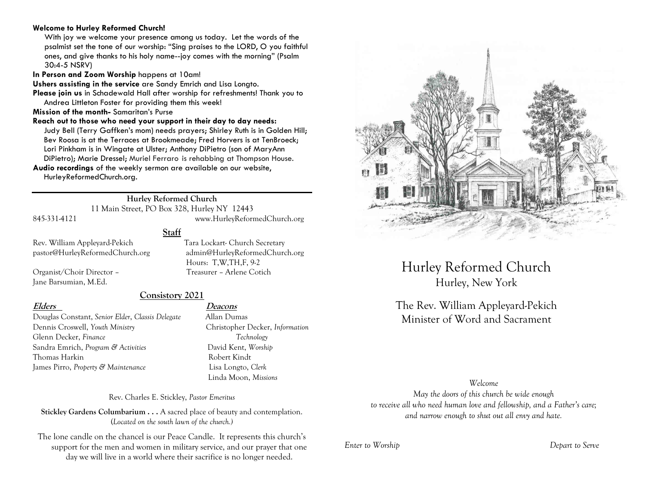### **Welcome to Hurley Reformed Church!**

With joy we welcome your presence among us today. Let the words of the psalmist set the tone of our worship: "Sing praises to the LORD, O you faithful ones, and give thanks to his holy name--joy comes with the morning" (Psalm 30:4-5 NSRV)

**In Person and Zoom Worship** happens at 10am!

**Ushers assisting in the service** are Sandy Emrich and Lisa Longto.

**Please join us** in Schadewald Hall after worship for refreshments! Thank you to Andrea Littleton Foster for providing them this week!

**Mission of the month-** Samaritan's Purse

**Reach out to those who need your support in their day to day needs:**  Judy Bell (Terry Gaffken's mom) needs prayers; Shirley Ruth is in Golden Hill; Bev Roosa is at the Terraces at Brookmeade; Fred Horvers is at TenBroeck;

Lori Pinkham is in Wingate at Ulster; Anthony DiPietro (son of MaryAnn

DiPietro); Marie Dressel; Muriel Ferraro is rehabbing at Thompson House.

**Audio recordings** of the weekly sermon are available on our website, HurleyReformedChurch.org.

## **Hurley Reformed Church**

11 Main Street, PO Box 328, Hurley NY 12443 845-331-4121 www.HurleyReformedChurch.org

# **Staff**

Rev. William Appleyard-Pekich Tara Lockart- Church Secretary

Jane Barsumian, M.Ed.

pastor@HurleyReformedChurch.org admin@HurleyReformedChurch.org Hours: T,W,TH,F, 9-2 Organist/Choir Director – Treasurer – Arlene Cotich

# **Consistory 2021**

Douglas Constant, *Senior Elder*, *Classis Delegate* Allan Dumas Dennis Croswell, *Youth Ministry* Christopher Decker, *Information* Glenn Decker, *Finance Technology* Sandra Emrich, *Program & Activities* David Kent, *Worship* Thomas Harkin **Robert Kindt** James Pirro, *Property & Maintenance* Lisa Longto, *Clerk*

# **Elders Deacons**

Linda Moon, *Missions*

Rev. Charles E. Stickley, *Pastor Emeritus*

**Stickley Gardens Columbarium . . .** A sacred place of beauty and contemplation. (*Located on the south lawn of the church.)* 

The lone candle on the chancel is our Peace Candle. It represents this church's support for the men and women in military service, and our prayer that one day we will live in a world where their sacrifice is no longer needed.



Hurley Reformed Church Hurley, New York

The Rev. William Appleyard-Pekich Minister of Word and Sacrament

## *Welcome*

*May the doors of this church be wide enough to receive all who need human love and fellowship, and a Father's care; and narrow enough to shut out all envy and hate.*

*Enter to Worship Depart to Serve*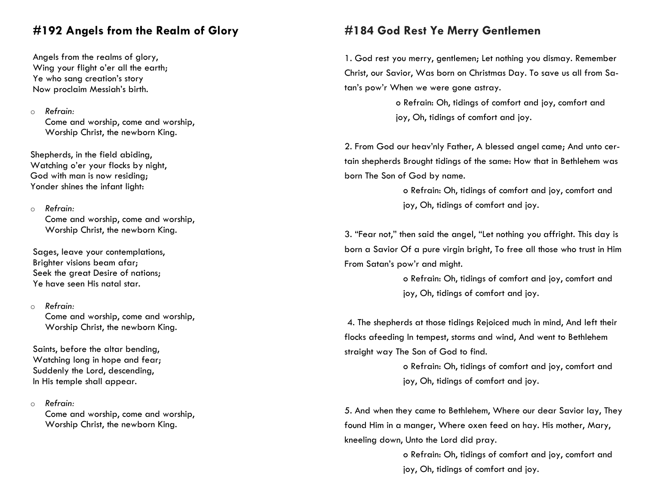# **#192 Angels from the Realm of Glory**

Angels from the realms of glory, Wing your flight o'er all the earth; Ye who sang creation's story Now proclaim Messiah's birth.

## o *Refrain:*

Come and worship, come and worship, Worship Christ, the newborn King.

Shepherds, in the field abiding, Watching o'er your flocks by night, God with man is now residing; Yonder shines the infant light:

# o *Refrain:*

Come and worship, come and worship, Worship Christ, the newborn King.

Sages, leave your contemplations, Brighter visions beam afar; Seek the great Desire of nations: Ye have seen His natal star.

### o *Refrain:*

Come and worship, come and worship, Worship Christ, the newborn King.

Saints, before the altar bending, Watching long in hope and fear; Suddenly the Lord, descending, In His temple shall appear.

o *Refrain:*

Come and worship, come and worship, Worship Christ, the newborn King.

# **#184 God Rest Ye Merry Gentlemen**

1. God rest you merry, gentlemen; Let nothing you dismay. Remember Christ, our Savior, Was born on Christmas Day. To save us all from Satan's pow'r When we were gone astray.

> o Refrain: Oh, tidings of comfort and joy, comfort and joy, Oh, tidings of comfort and joy.

2. From God our heav'nly Father, A blessed angel came; And unto certain shepherds Brought tidings of the same: How that in Bethlehem was born The Son of God by name.

> o Refrain: Oh, tidings of comfort and joy, comfort and joy, Oh, tidings of comfort and joy.

3. "Fear not," then said the angel, "Let nothing you affright. This day is born a Savior Of a pure virgin bright, To free all those who trust in Him From Satan's pow'r and might.

> o Refrain: Oh, tidings of comfort and joy, comfort and joy, Oh, tidings of comfort and joy.

4. The shepherds at those tidings Rejoiced much in mind, And left their flocks afeeding In tempest, storms and wind, And went to Bethlehem straight way The Son of God to find.

> o Refrain: Oh, tidings of comfort and joy, comfort and joy, Oh, tidings of comfort and joy.

5. And when they came to Bethlehem, Where our dear Savior lay, They found Him in a manger, Where oxen feed on hay. His mother, Mary, kneeling down, Unto the Lord did pray.

> o Refrain: Oh, tidings of comfort and joy, comfort and joy, Oh, tidings of comfort and joy.